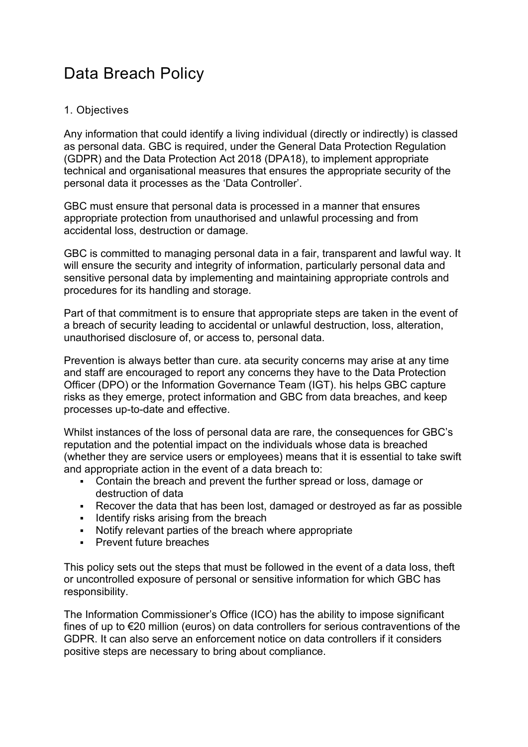# Data Breach Policy

# 1. Objectives

Any information that could identify a living individual (directly or indirectly) is classed as personal data. GBC is required, under the General Data Protection Regulation (GDPR) and the Data Protection Act 2018 (DPA18), to implement appropriate technical and organisational measures that ensures the appropriate security of the personal data it processes as the 'Data Controller'.

GBC must ensure that personal data is processed in a manner that ensures appropriate protection from unauthorised and unlawful processing and from accidental loss, destruction or damage.

GBC is committed to managing personal data in a fair, transparent and lawful way. It will ensure the security and integrity of information, particularly personal data and sensitive personal data by implementing and maintaining appropriate controls and procedures for its handling and storage.

Part of that commitment is to ensure that appropriate steps are taken in the event of a breach of security leading to accidental or unlawful destruction, loss, alteration, unauthorised disclosure of, or access to, personal data.

Prevention is always better than cure. ata security concerns may arise at any time and staff are encouraged to report any concerns they have to the Data Protection Officer (DPO) or the Information Governance Team (IGT). his helps GBC capture risks as they emerge, protect information and GBC from data breaches, and keep processes up-to-date and effective.

Whilst instances of the loss of personal data are rare, the consequences for GBC's reputation and the potential impact on the individuals whose data is breached (whether they are service users or employees) means that it is essential to take swift and appropriate action in the event of a data breach to:

- Contain the breach and prevent the further spread or loss, damage or destruction of data
- Recover the data that has been lost, damaged or destroyed as far as possible
- **IDENTIFY READER IS INCOCOLER I** Identify risks arising from the breach
- Notify relevant parties of the breach where appropriate
- **Prevent future breaches**

This policy sets out the steps that must be followed in the event of a data loss, theft or uncontrolled exposure of personal or sensitive information for which GBC has responsibility.

The Information Commissioner's Office (ICO) has the ability to impose significant fines of up to €20 million (euros) on data controllers for serious contraventions of the GDPR. It can also serve an enforcement notice on data controllers if it considers positive steps are necessary to bring about compliance.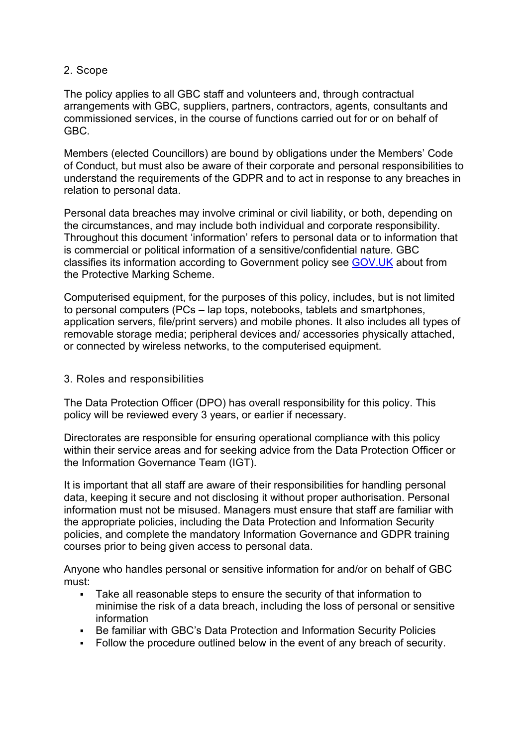# 2. Scope

The policy applies to all GBC staff and volunteers and, through contractual arrangements with GBC, suppliers, partners, contractors, agents, consultants and commissioned services, in the course of functions carried out for or on behalf of GBC.

Members (elected Councillors) are bound by obligations under the Members' Code of Conduct, but must also be aware of their corporate and personal responsibilities to understand the requirements of the GDPR and to act in response to any breaches in relation to personal data.

Personal data breaches may involve criminal or civil liability, or both, depending on the circumstances, and may include both individual and corporate responsibility. Throughout this document 'information' refers to personal data or to information that is commercial or political information of a sensitive/confidential nature. GBC classifies its information according to Government policy see [GOV.UK](https://www.gov.uk/government/publications/government-security-classifications) about from the Protective Marking Scheme.

Computerised equipment, for the purposes of this policy, includes, but is not limited to personal computers (PCs – lap tops, notebooks, tablets and smartphones, application servers, file/print servers) and mobile phones. It also includes all types of removable storage media; peripheral devices and/ accessories physically attached, or connected by wireless networks, to the computerised equipment.

#### 3. Roles and responsibilities

The Data Protection Officer (DPO) has overall responsibility for this policy. This policy will be reviewed every 3 years, or earlier if necessary.

Directorates are responsible for ensuring operational compliance with this policy within their service areas and for seeking advice from the Data Protection Officer or the Information Governance Team (IGT).

It is important that all staff are aware of their responsibilities for handling personal data, keeping it secure and not disclosing it without proper authorisation. Personal information must not be misused. Managers must ensure that staff are familiar with the appropriate policies, including the Data Protection and Information Security policies, and complete the mandatory Information Governance and GDPR training courses prior to being given access to personal data.

Anyone who handles personal or sensitive information for and/or on behalf of GBC must:

- Take all reasonable steps to ensure the security of that information to minimise the risk of a data breach, including the loss of personal or sensitive information
- Be familiar with GBC's Data Protection and Information Security Policies
- Follow the procedure outlined below in the event of any breach of security.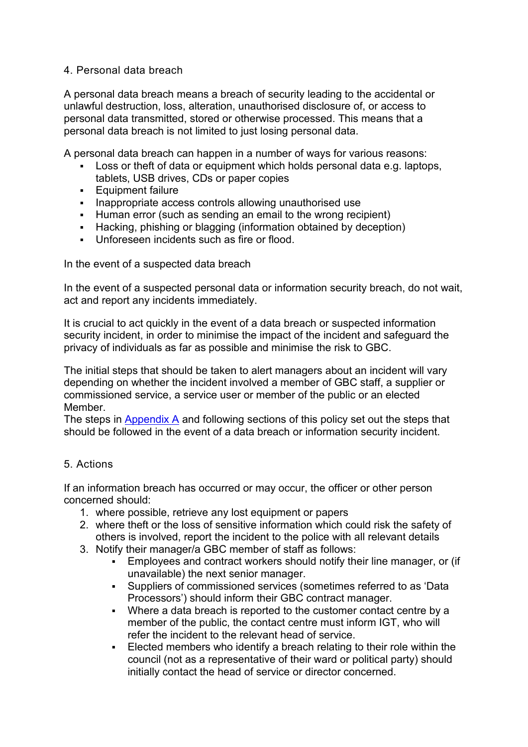# 4. Personal data breach

A personal data breach means a breach of security leading to the accidental or unlawful destruction, loss, alteration, unauthorised disclosure of, or access to personal data transmitted, stored or otherwise processed. This means that a personal data breach is not limited to just losing personal data.

A personal data breach can happen in a number of ways for various reasons:

- Loss or theft of data or equipment which holds personal data e.g. laptops, tablets, USB drives, CDs or paper copies
- **Equipment failure**
- Inappropriate access controls allowing unauthorised use
- Human error (such as sending an email to the wrong recipient)
- Hacking, phishing or blagging (information obtained by deception)
- Unforeseen incidents such as fire or flood.

In the event of a suspected data breach

In the event of a suspected personal data or information security breach, do not wait, act and report any incidents immediately.

It is crucial to act quickly in the event of a data breach or suspected information security incident, in order to minimise the impact of the incident and safeguard the privacy of individuals as far as possible and minimise the risk to GBC.

The initial steps that should be taken to alert managers about an incident will vary depending on whether the incident involved a member of GBC staff, a supplier or commissioned service, a service user or member of the public or an elected Member.

The steps in [Appendix A](https://www.gravesham.gov.uk/home/about-the-council/policies-strategies-open-data/policies/data-breach-policy/managing-and-recording-breaches/appendix-a-information-security-incident-reporting) and following sections of this policy set out the steps that should be followed in the event of a data breach or information security incident.

# 5. Actions

If an information breach has occurred or may occur, the officer or other person concerned should:

- 1. where possible, retrieve any lost equipment or papers
- 2. where theft or the loss of sensitive information which could risk the safety of others is involved, report the incident to the police with all relevant details
- 3. Notify their manager/a GBC member of staff as follows:
	- Employees and contract workers should notify their line manager, or (if unavailable) the next senior manager.
	- Suppliers of commissioned services (sometimes referred to as 'Data Processors') should inform their GBC contract manager.
	- Where a data breach is reported to the customer contact centre by a member of the public, the contact centre must inform IGT, who will refer the incident to the relevant head of service.
	- Elected members who identify a breach relating to their role within the council (not as a representative of their ward or political party) should initially contact the head of service or director concerned.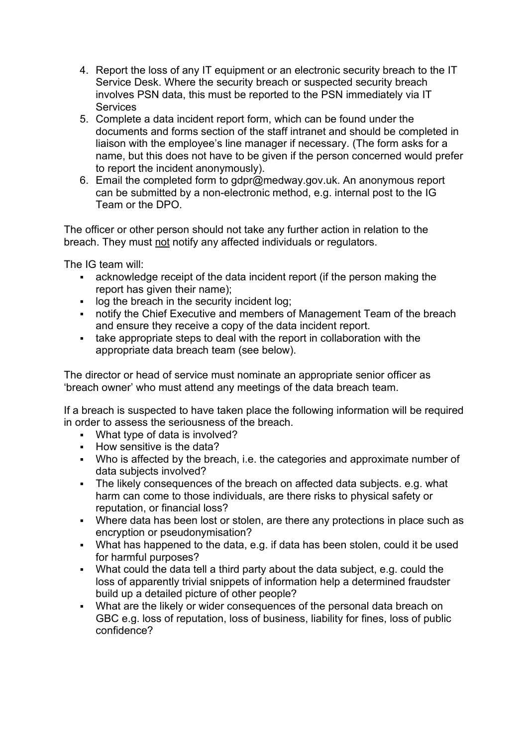- 4. Report the loss of any IT equipment or an electronic security breach to the IT Service Desk. Where the security breach or suspected security breach involves PSN data, this must be reported to the PSN immediately via IT **Services**
- 5. Complete a data incident report form, which can be found under the documents and forms section of the staff intranet and should be completed in liaison with the employee's line manager if necessary. (The form asks for a name, but this does not have to be given if the person concerned would prefer to report the incident anonymously).
- 6. Email the completed form to gdpr@medway.gov.uk. An anonymous report can be submitted by a non-electronic method, e.g. internal post to the IG Team or the DPO.

The officer or other person should not take any further action in relation to the breach. They must not notify any affected individuals or regulators.

The IG team will:

- acknowledge receipt of the data incident report (if the person making the report has given their name):
- **If log the breach in the security incident log:**
- notify the Chief Executive and members of Management Team of the breach and ensure they receive a copy of the data incident report.
- take appropriate steps to deal with the report in collaboration with the appropriate data breach team (see below).

The director or head of service must nominate an appropriate senior officer as 'breach owner' who must attend any meetings of the data breach team.

If a breach is suspected to have taken place the following information will be required in order to assess the seriousness of the breach.

- What type of data is involved?
- **How sensitive is the data?**
- Who is affected by the breach, i.e. the categories and approximate number of data subjects involved?
- The likely consequences of the breach on affected data subjects. e.g. what harm can come to those individuals, are there risks to physical safety or reputation, or financial loss?
- Where data has been lost or stolen, are there any protections in place such as encryption or pseudonymisation?
- What has happened to the data, e.g. if data has been stolen, could it be used for harmful purposes?
- What could the data tell a third party about the data subject, e.g. could the loss of apparently trivial snippets of information help a determined fraudster build up a detailed picture of other people?
- What are the likely or wider consequences of the personal data breach on GBC e.g. loss of reputation, loss of business, liability for fines, loss of public confidence?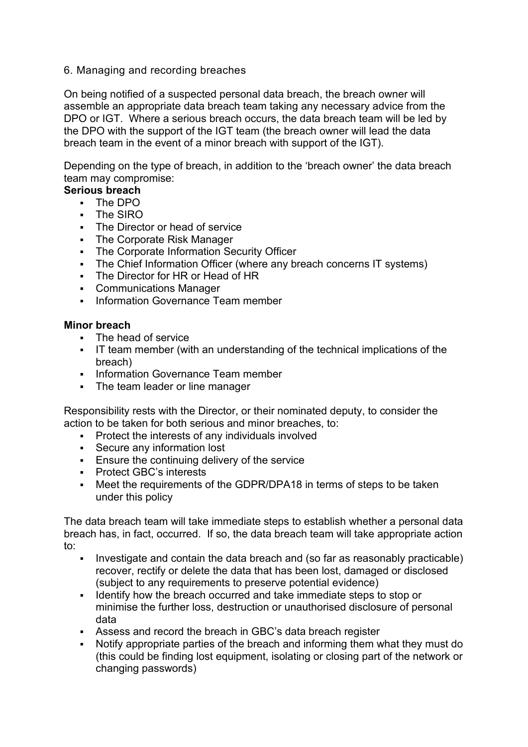#### 6. Managing and recording breaches

On being notified of a suspected personal data breach, the breach owner will assemble an appropriate data breach team taking any necessary advice from the DPO or IGT. Where a serious breach occurs, the data breach team will be led by the DPO with the support of the IGT team (the breach owner will lead the data breach team in the event of a minor breach with support of the IGT).

Depending on the type of breach, in addition to the 'breach owner' the data breach team may compromise:

# **Serious breach**

- The DPO
- The SIRO
- The Director or head of service
- The Corporate Risk Manager
- The Corporate Information Security Officer
- The Chief Information Officer (where any breach concerns IT systems)
- The Director for HR or Head of HR
- Communications Manager
- **Information Governance Team member**

#### **Minor breach**

- **The head of service**
- IT team member (with an understanding of the technical implications of the breach)
- Information Governance Team member
- The team leader or line manager

Responsibility rests with the Director, or their nominated deputy, to consider the action to be taken for both serious and minor breaches, to:

- Protect the interests of any individuals involved
- Secure any information lost
- **Ensure the continuing delivery of the service**
- **Protect GBC's interests**
- Meet the requirements of the GDPR/DPA18 in terms of steps to be taken under this policy

The data breach team will take immediate steps to establish whether a personal data breach has, in fact, occurred. If so, the data breach team will take appropriate action to:

- Investigate and contain the data breach and (so far as reasonably practicable) recover, rectify or delete the data that has been lost, damaged or disclosed (subject to any requirements to preserve potential evidence)
- I dentify how the breach occurred and take immediate steps to stop or minimise the further loss, destruction or unauthorised disclosure of personal data
- Assess and record the breach in GBC's data breach register
- Notify appropriate parties of the breach and informing them what they must do (this could be finding lost equipment, isolating or closing part of the network or changing passwords)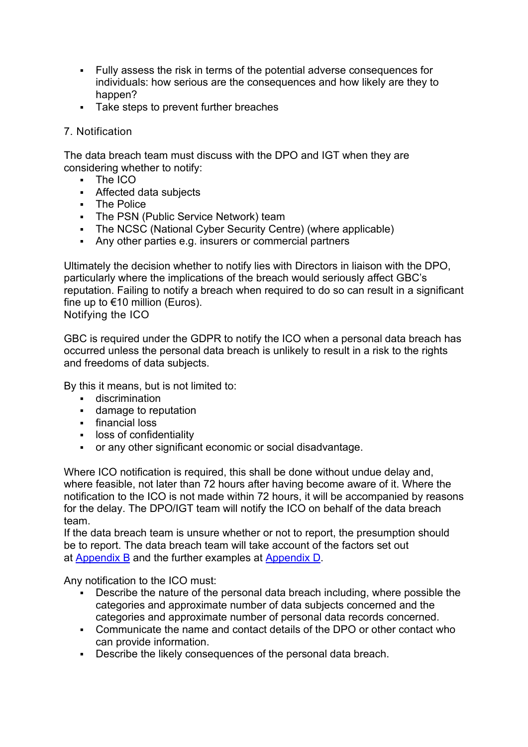- Fully assess the risk in terms of the potential adverse consequences for individuals: how serious are the consequences and how likely are they to happen?
- Take steps to prevent further breaches

# 7. Notification

The data breach team must discuss with the DPO and IGT when they are considering whether to notify:

- The ICO
- Affected data subjects
- **The Police**
- The PSN (Public Service Network) team
- The NCSC (National Cyber Security Centre) (where applicable)
- Any other parties e.g. insurers or commercial partners

Ultimately the decision whether to notify lies with Directors in liaison with the DPO, particularly where the implications of the breach would seriously affect GBC's reputation. Failing to notify a breach when required to do so can result in a significant fine up to  $€10$  million (Euros).

Notifying the ICO

GBC is required under the GDPR to notify the ICO when a personal data breach has occurred unless the personal data breach is unlikely to result in a risk to the rights and freedoms of data subjects.

By this it means, but is not limited to:

- **-** discrimination
- **damage to reputation**
- financial loss
- **-** loss of confidentiality
- or any other significant economic or social disadvantage.

Where ICO notification is required, this shall be done without undue delay and, where feasible, not later than 72 hours after having become aware of it. Where the notification to the ICO is not made within 72 hours, it will be accompanied by reasons for the delay. The DPO/IGT team will notify the ICO on behalf of the data breach team.

If the data breach team is unsure whether or not to report, the presumption should be to report. The data breach team will take account of the factors set out at [Appendix B](https://www.gravesham.gov.uk/home/about-the-council/policies-strategies-open-data/policies/data-breach-policy/managing-and-recording-breaches/appendix-b-factors-to-consider) and the further examples at [Appendix D.](https://www.gravesham.gov.uk/home/about-the-council/policies-strategies-open-data/policies/data-breach-policy/managing-and-recording-breaches/appendix-d-definitions)

Any notification to the ICO must:

- Describe the nature of the personal data breach including, where possible the categories and approximate number of data subjects concerned and the categories and approximate number of personal data records concerned.
- Communicate the name and contact details of the DPO or other contact who can provide information.
- Describe the likely consequences of the personal data breach.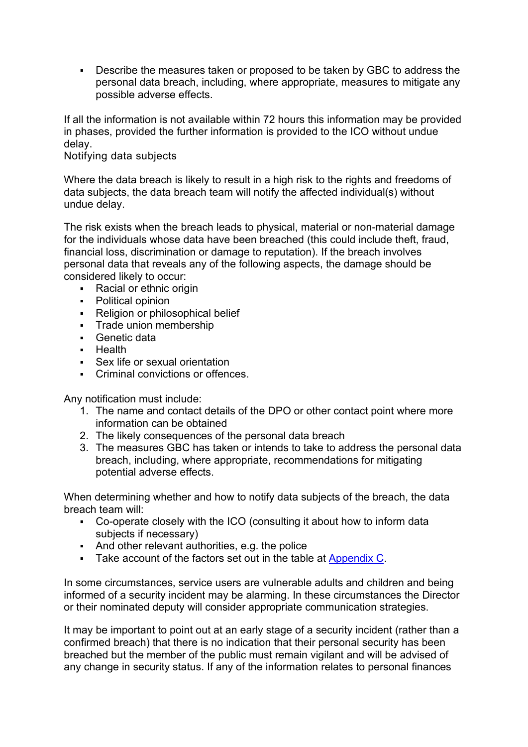Describe the measures taken or proposed to be taken by GBC to address the personal data breach, including, where appropriate, measures to mitigate any possible adverse effects.

If all the information is not available within 72 hours this information may be provided in phases, provided the further information is provided to the ICO without undue delay.

### Notifying data subjects

Where the data breach is likely to result in a high risk to the rights and freedoms of data subjects, the data breach team will notify the affected individual(s) without undue delay.

The risk exists when the breach leads to physical, material or non-material damage for the individuals whose data have been breached (this could include theft, fraud, financial loss, discrimination or damage to reputation). If the breach involves personal data that reveals any of the following aspects, the damage should be considered likely to occur:

- Racial or ethnic origin
- Political opinion
- Religion or philosophical belief
- **Trade union membership**
- Genetic data
- **Health**
- Sex life or sexual orientation
- Criminal convictions or offences.

Any notification must include:

- 1. The name and contact details of the DPO or other contact point where more information can be obtained
- 2. The likely consequences of the personal data breach
- 3. The measures GBC has taken or intends to take to address the personal data breach, including, where appropriate, recommendations for mitigating potential adverse effects.

When determining whether and how to notify data subjects of the breach, the data breach team will:

- Co-operate closely with the ICO (consulting it about how to inform data subjects if necessary)
- And other relevant authorities, e.g. the police
- Take account of the factors set out in the table at [Appendix C.](https://www.gravesham.gov.uk/home/about-the-council/policies-strategies-open-data/policies/data-breach-policy/managing-and-recording-breaches/appendix-c-factors-to-consider-notifying-data-subjects)

In some circumstances, service users are vulnerable adults and children and being informed of a security incident may be alarming. In these circumstances the Director or their nominated deputy will consider appropriate communication strategies.

It may be important to point out at an early stage of a security incident (rather than a confirmed breach) that there is no indication that their personal security has been breached but the member of the public must remain vigilant and will be advised of any change in security status. If any of the information relates to personal finances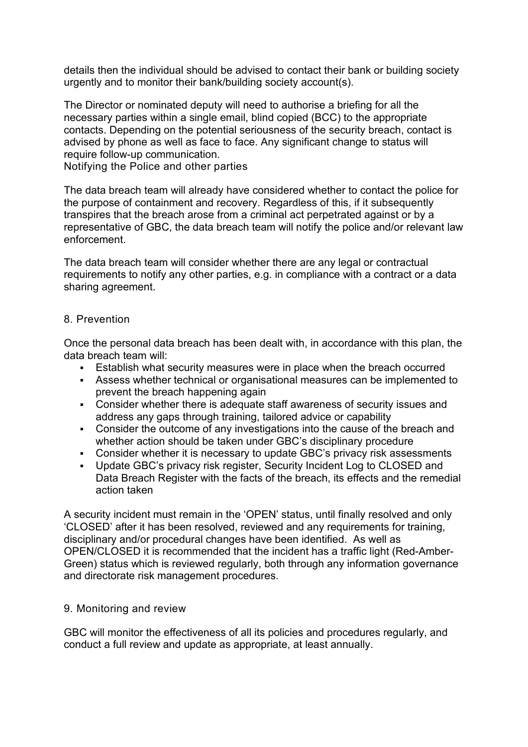details then the individual should be advised to contact their bank or building society urgently and to monitor their bank/building society account(s).

The Director or nominated deputy will need to authorise a briefing for all the necessary parties within a single email, blind copied (BCC) to the appropriate contacts. Depending on the potential seriousness of the security breach, contact is advised by phone as well as face to face. Any significant change to status will require follow-up communication.

Notifying the Police and other parties

The data breach team will already have considered whether to contact the police for the purpose of containment and recovery. Regardless of this, if it subsequently transpires that the breach arose from a criminal act perpetrated against or by a representative of GBC, the data breach team will notify the police and/or relevant law enforcement.

The data breach team will consider whether there are any legal or contractual requirements to notify any other parties, e.g. in compliance with a contract or a data sharing agreement.

#### 8. Prevention

Once the personal data breach has been dealt with, in accordance with this plan, the data breach team will:

- Establish what security measures were in place when the breach occurred
- Assess whether technical or organisational measures can be implemented to prevent the breach happening again
- Consider whether there is adequate staff awareness of security issues and address any gaps through training, tailored advice or capability
- Consider the outcome of any investigations into the cause of the breach and whether action should be taken under GBC's disciplinary procedure
- Consider whether it is necessary to update GBC's privacy risk assessments
- Update GBC's privacy risk register, Security Incident Log to CLOSED and Data Breach Register with the facts of the breach, its effects and the remedial action taken

A security incident must remain in the 'OPEN' status, until finally resolved and only 'CLOSED' after it has been resolved, reviewed and any requirements for training, disciplinary and/or procedural changes have been identified. As well as OPEN/CLOSED it is recommended that the incident has a traffic light (Red-Amber-Green) status which is reviewed regularly, both through any information governance and directorate risk management procedures.

#### 9. Monitoring and review

GBC will monitor the effectiveness of all its policies and procedures regularly, and conduct a full review and update as appropriate, at least annually.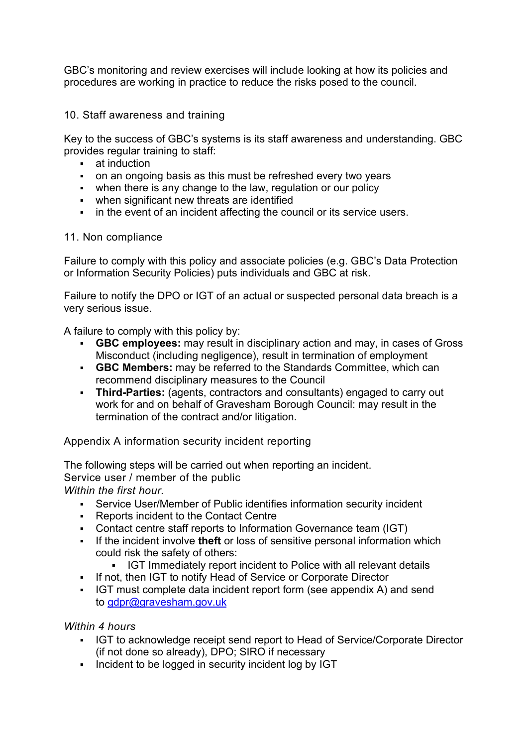GBC's monitoring and review exercises will include looking at how its policies and procedures are working in practice to reduce the risks posed to the council.

10. Staff awareness and training

Key to the success of GBC's systems is its staff awareness and understanding. GBC provides regular training to staff:

- **at induction**
- on an ongoing basis as this must be refreshed every two years
- when there is any change to the law, regulation or our policy
- when significant new threats are identified
- $\blacksquare$  in the event of an incident affecting the council or its service users.

#### 11. Non compliance

Failure to comply with this policy and associate policies (e.g. GBC's Data Protection or Information Security Policies) puts individuals and GBC at risk.

Failure to notify the DPO or IGT of an actual or suspected personal data breach is a very serious issue.

A failure to comply with this policy by:

- **GBC employees:** may result in disciplinary action and may, in cases of Gross Misconduct (including negligence), result in termination of employment
- **GBC Members:** may be referred to the Standards Committee, which can recommend disciplinary measures to the Council
- **Third-Parties:** (agents, contractors and consultants) engaged to carry out work for and on behalf of Gravesham Borough Council: may result in the termination of the contract and/or litigation.

Appendix A information security incident reporting

The following steps will be carried out when reporting an incident. Service user / member of the public *Within the first hour.*

- Service User/Member of Public identifies information security incident
- **Reports incident to the Contact Centre**
- Contact centre staff reports to Information Governance team (IGT)
- If the incident involve **theft** or loss of sensitive personal information which could risk the safety of others:
	- IGT Immediately report incident to Police with all relevant details
- If not, then IGT to notify Head of Service or Corporate Director
- IGT must complete data incident report form (see appendix A) and send to [gdpr@gravesham.gov.uk](mailto:gdpr@gravesham.gov.uk)

# *Within 4 hours*

- IGT to acknowledge receipt send report to Head of Service/Corporate Director (if not done so already), DPO; SIRO if necessary
- Incident to be logged in security incident log by IGT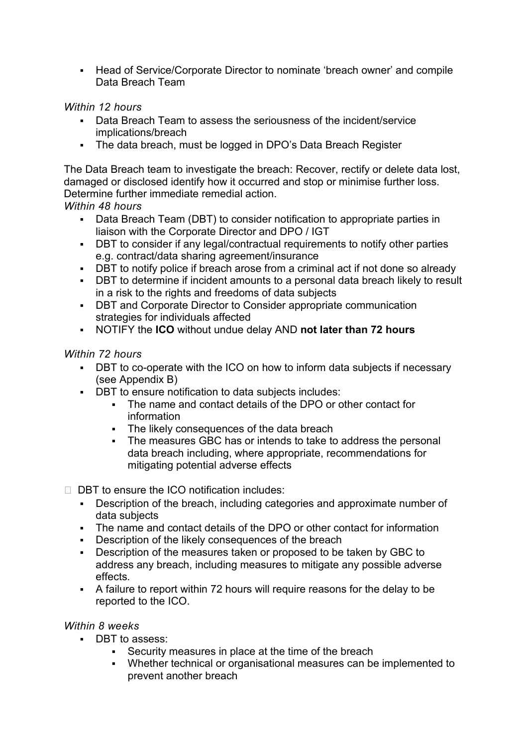Head of Service/Corporate Director to nominate 'breach owner' and compile Data Breach Team

# *Within 12 hours*

- Data Breach Team to assess the seriousness of the incident/service implications/breach
- The data breach, must be logged in DPO's Data Breach Register

The Data Breach team to investigate the breach: Recover, rectify or delete data lost, damaged or disclosed identify how it occurred and stop or minimise further loss. Determine further immediate remedial action.

# *Within 48 hours*

- Data Breach Team (DBT) to consider notification to appropriate parties in liaison with the Corporate Director and DPO / IGT
- DBT to consider if any legal/contractual requirements to notify other parties e.g. contract/data sharing agreement/insurance
- DBT to notify police if breach arose from a criminal act if not done so already
- DBT to determine if incident amounts to a personal data breach likely to result in a risk to the rights and freedoms of data subjects
- **-** DBT and Corporate Director to Consider appropriate communication strategies for individuals affected
- NOTIFY the **ICO** without undue delay AND **not later than 72 hours**

# *Within 72 hours*

- DBT to co-operate with the ICO on how to inform data subjects if necessary (see Appendix B)
- DBT to ensure notification to data subjects includes:
	- The name and contact details of the DPO or other contact for information
	- The likely consequences of the data breach
	- The measures GBC has or intends to take to address the personal data breach including, where appropriate, recommendations for mitigating potential adverse effects
- $\Box$  DBT to ensure the ICO notification includes:
	- Description of the breach, including categories and approximate number of data subjects
	- The name and contact details of the DPO or other contact for information
	- Description of the likely consequences of the breach
	- Description of the measures taken or proposed to be taken by GBC to address any breach, including measures to mitigate any possible adverse effects.
	- A failure to report within 72 hours will require reasons for the delay to be reported to the ICO.

#### *Within 8 weeks*

- DBT to assess:
	- Security measures in place at the time of the breach
	- Whether technical or organisational measures can be implemented to prevent another breach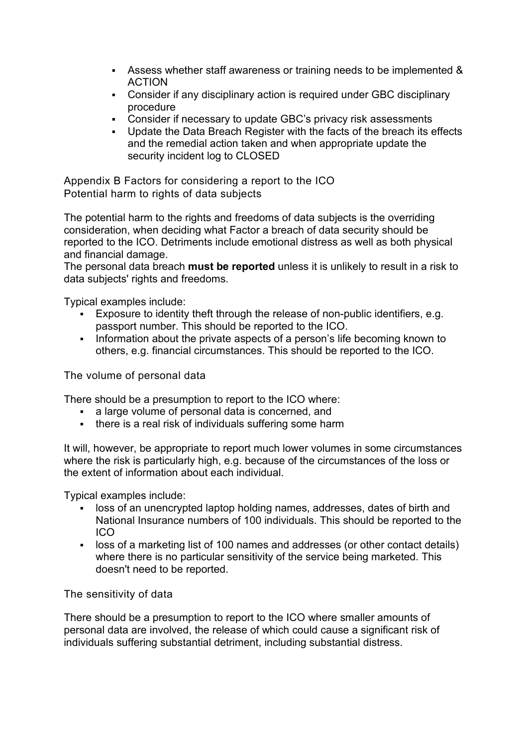- Assess whether staff awareness or training needs to be implemented & ACTION
- Consider if any disciplinary action is required under GBC disciplinary procedure
- Consider if necessary to update GBC's privacy risk assessments
- Update the Data Breach Register with the facts of the breach its effects and the remedial action taken and when appropriate update the security incident log to CLOSED

Appendix B Factors for considering a report to the ICO Potential harm to rights of data subjects

The potential harm to the rights and freedoms of data subjects is the overriding consideration, when deciding what Factor a breach of data security should be reported to the ICO. Detriments include emotional distress as well as both physical and financial damage.

The personal data breach **must be reported** unless it is unlikely to result in a risk to data subjects' rights and freedoms.

Typical examples include:

- Exposure to identity theft through the release of non-public identifiers, e.g. passport number. This should be reported to the ICO.
- Information about the private aspects of a person's life becoming known to others, e.g. financial circumstances. This should be reported to the ICO.

The volume of personal data

There should be a presumption to report to the ICO where:

- a large volume of personal data is concerned, and
- there is a real risk of individuals suffering some harm

It will, however, be appropriate to report much lower volumes in some circumstances where the risk is particularly high, e.g. because of the circumstances of the loss or the extent of information about each individual.

Typical examples include:

- loss of an unencrypted laptop holding names, addresses, dates of birth and National Insurance numbers of 100 individuals. This should be reported to the ICO
- loss of a marketing list of 100 names and addresses (or other contact details) where there is no particular sensitivity of the service being marketed. This doesn't need to be reported.

The sensitivity of data

There should be a presumption to report to the ICO where smaller amounts of personal data are involved, the release of which could cause a significant risk of individuals suffering substantial detriment, including substantial distress.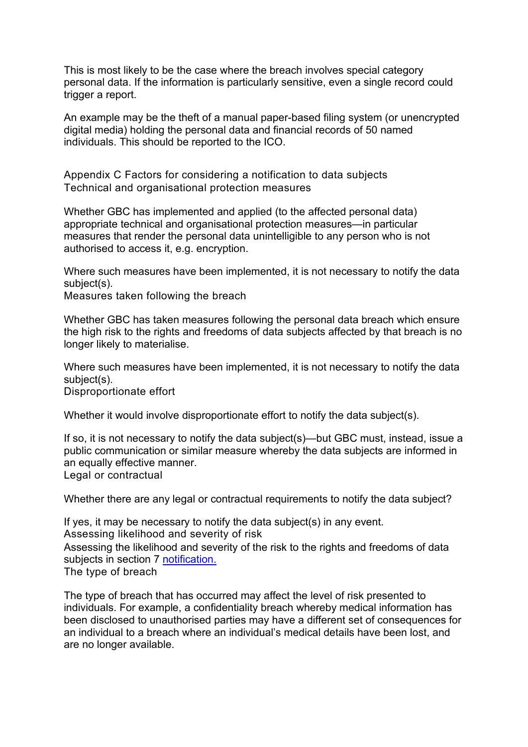This is most likely to be the case where the breach involves special category personal data. If the information is particularly sensitive, even a single record could trigger a report.

An example may be the theft of a manual paper-based filing system (or unencrypted digital media) holding the personal data and financial records of 50 named individuals. This should be reported to the ICO.

Appendix C Factors for considering a notification to data subjects Technical and organisational protection measures

Whether GBC has implemented and applied (to the affected personal data) appropriate technical and organisational protection measures—in particular measures that render the personal data unintelligible to any person who is not authorised to access it, e.g. encryption.

Where such measures have been implemented, it is not necessary to notify the data subject(s).

Measures taken following the breach

Whether GBC has taken measures following the personal data breach which ensure the high risk to the rights and freedoms of data subjects affected by that breach is no longer likely to materialise.

Where such measures have been implemented, it is not necessary to notify the data subject(s).

Disproportionate effort

Whether it would involve disproportionate effort to notify the data subject(s).

If so, it is not necessary to notify the data subject(s)—but GBC must, instead, issue a public communication or similar measure whereby the data subjects are informed in an equally effective manner. Legal or contractual

Whether there are any legal or contractual requirements to notify the data subject?

If yes, it may be necessary to notify the data subject(s) in any event. Assessing likelihood and severity of risk Assessing the likelihood and severity of the risk to the rights and freedoms of data subjects in section 7 [notification.](https://www.gravesham.gov.uk/home/about-the-council/policies-strategies-open-data/policies/data-breach-policy/notification) The type of breach

The type of breach that has occurred may affect the level of risk presented to individuals. For example, a confidentiality breach whereby medical information has been disclosed to unauthorised parties may have a different set of consequences for an individual to a breach where an individual's medical details have been lost, and are no longer available.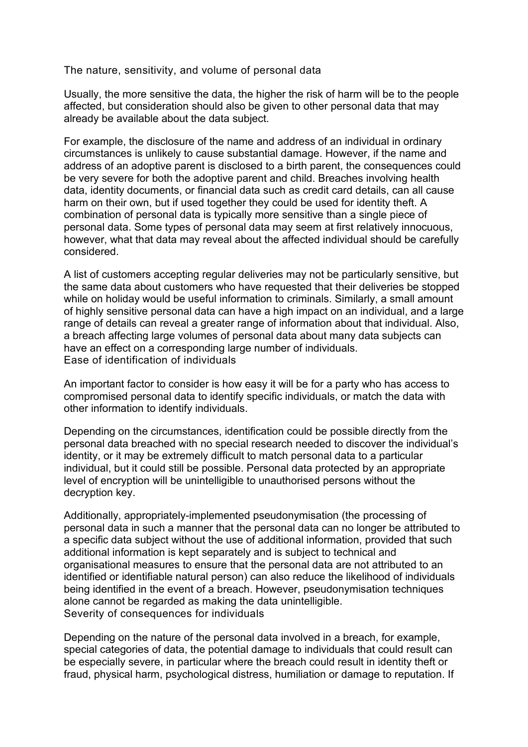The nature, sensitivity, and volume of personal data

Usually, the more sensitive the data, the higher the risk of harm will be to the people affected, but consideration should also be given to other personal data that may already be available about the data subject.

For example, the disclosure of the name and address of an individual in ordinary circumstances is unlikely to cause substantial damage. However, if the name and address of an adoptive parent is disclosed to a birth parent, the consequences could be very severe for both the adoptive parent and child. Breaches involving health data, identity documents, or financial data such as credit card details, can all cause harm on their own, but if used together they could be used for identity theft. A combination of personal data is typically more sensitive than a single piece of personal data. Some types of personal data may seem at first relatively innocuous, however, what that data may reveal about the affected individual should be carefully considered.

A list of customers accepting regular deliveries may not be particularly sensitive, but the same data about customers who have requested that their deliveries be stopped while on holiday would be useful information to criminals. Similarly, a small amount of highly sensitive personal data can have a high impact on an individual, and a large range of details can reveal a greater range of information about that individual. Also, a breach affecting large volumes of personal data about many data subjects can have an effect on a corresponding large number of individuals. Ease of identification of individuals

An important factor to consider is how easy it will be for a party who has access to compromised personal data to identify specific individuals, or match the data with other information to identify individuals.

Depending on the circumstances, identification could be possible directly from the personal data breached with no special research needed to discover the individual's identity, or it may be extremely difficult to match personal data to a particular individual, but it could still be possible. Personal data protected by an appropriate level of encryption will be unintelligible to unauthorised persons without the decryption key.

Additionally, appropriately-implemented pseudonymisation (the processing of personal data in such a manner that the personal data can no longer be attributed to a specific data subject without the use of additional information, provided that such additional information is kept separately and is subject to technical and organisational measures to ensure that the personal data are not attributed to an identified or identifiable natural person) can also reduce the likelihood of individuals being identified in the event of a breach. However, pseudonymisation techniques alone cannot be regarded as making the data unintelligible. Severity of consequences for individuals

Depending on the nature of the personal data involved in a breach, for example, special categories of data, the potential damage to individuals that could result can be especially severe, in particular where the breach could result in identity theft or fraud, physical harm, psychological distress, humiliation or damage to reputation. If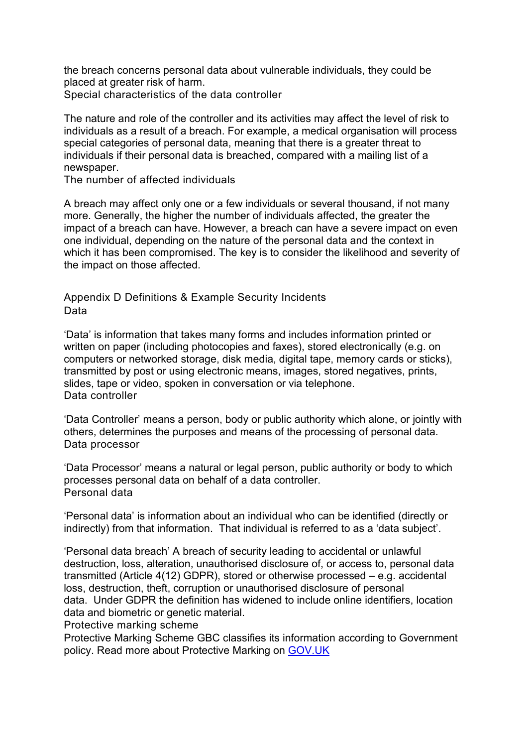the breach concerns personal data about vulnerable individuals, they could be placed at greater risk of harm. Special characteristics of the data controller

The nature and role of the controller and its activities may affect the level of risk to individuals as a result of a breach. For example, a medical organisation will process special categories of personal data, meaning that there is a greater threat to individuals if their personal data is breached, compared with a mailing list of a newspaper.

The number of affected individuals

A breach may affect only one or a few individuals or several thousand, if not many more. Generally, the higher the number of individuals affected, the greater the impact of a breach can have. However, a breach can have a severe impact on even one individual, depending on the nature of the personal data and the context in which it has been compromised. The key is to consider the likelihood and severity of the impact on those affected.

Appendix D Definitions & Example Security Incidents Data

'Data' is information that takes many forms and includes information printed or written on paper (including photocopies and faxes), stored electronically (e.g. on computers or networked storage, disk media, digital tape, memory cards or sticks), transmitted by post or using electronic means, images, stored negatives, prints, slides, tape or video, spoken in conversation or via telephone. Data controller

'Data Controller' means a person, body or public authority which alone, or jointly with others, determines the purposes and means of the processing of personal data. Data processor

'Data Processor' means a natural or legal person, public authority or body to which processes personal data on behalf of a data controller. Personal data

'Personal data' is information about an individual who can be identified (directly or indirectly) from that information. That individual is referred to as a 'data subject'.

'Personal data breach' A breach of security leading to accidental or unlawful destruction, loss, alteration, unauthorised disclosure of, or access to, personal data transmitted (Article 4(12) GDPR), stored or otherwise processed – e.g. accidental loss, destruction, theft, corruption or unauthorised disclosure of personal data. Under GDPR the definition has widened to include online identifiers, location data and biometric or genetic material.

Protective marking scheme

Protective Marking Scheme GBC classifies its information according to Government policy. Read more about Protective Marking on [GOV.UK](https://www.gov.uk/government/publications/government-security-classifications)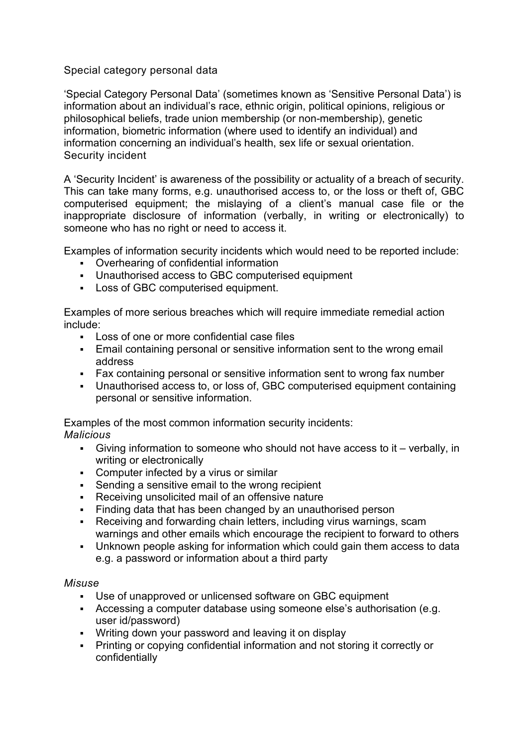# Special category personal data

'Special Category Personal Data' (sometimes known as 'Sensitive Personal Data') is information about an individual's race, ethnic origin, political opinions, religious or philosophical beliefs, trade union membership (or non-membership), genetic information, biometric information (where used to identify an individual) and information concerning an individual's health, sex life or sexual orientation. Security incident

A 'Security Incident' is awareness of the possibility or actuality of a breach of security. This can take many forms, e.g. unauthorised access to, or the loss or theft of, GBC computerised equipment; the mislaying of a client's manual case file or the inappropriate disclosure of information (verbally, in writing or electronically) to someone who has no right or need to access it.

Examples of information security incidents which would need to be reported include:

- Overhearing of confidential information
- Unauthorised access to GBC computerised equipment
- **Loss of GBC computerised equipment.**

Examples of more serious breaches which will require immediate remedial action include:

- Loss of one or more confidential case files
- Email containing personal or sensitive information sent to the wrong email address
- Fax containing personal or sensitive information sent to wrong fax number
- Unauthorised access to, or loss of, GBC computerised equipment containing personal or sensitive information.

Examples of the most common information security incidents: *Malicious*

- Giving information to someone who should not have access to it verbally, in writing or electronically
- Computer infected by a virus or similar
- Sending a sensitive email to the wrong recipient
- Receiving unsolicited mail of an offensive nature
- Finding data that has been changed by an unauthorised person
- Receiving and forwarding chain letters, including virus warnings, scam warnings and other emails which encourage the recipient to forward to others
- Unknown people asking for information which could gain them access to data e.g. a password or information about a third party

#### *Misuse*

- Use of unapproved or unlicensed software on GBC equipment
- Accessing a computer database using someone else's authorisation (e.g. user id/password)
- Writing down your password and leaving it on display
- Printing or copying confidential information and not storing it correctly or confidentially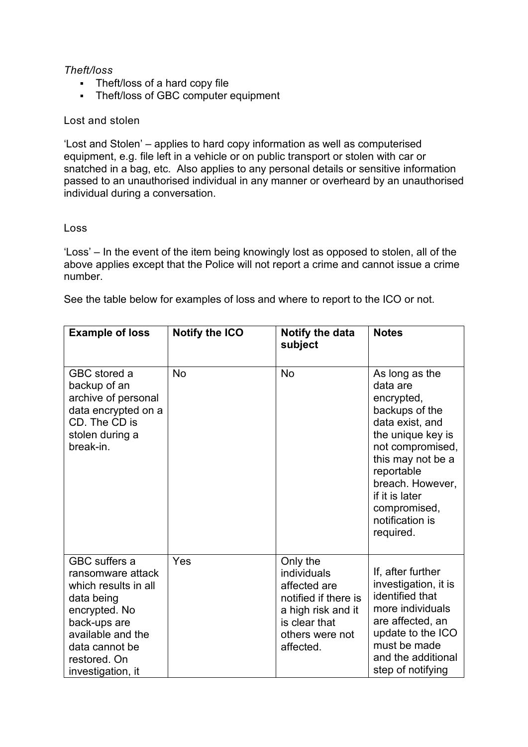# *Theft/loss*

- Theft/loss of a hard copy file
- Theft/loss of GBC computer equipment

#### Lost and stolen

'Lost and Stolen' – applies to hard copy information as well as computerised equipment, e.g. file left in a vehicle or on public transport or stolen with car or snatched in a bag, etc. Also applies to any personal details or sensitive information passed to an unauthorised individual in any manner or overheard by an unauthorised individual during a conversation.

#### Loss

'Loss' – In the event of the item being knowingly lost as opposed to stolen, all of the above applies except that the Police will not report a crime and cannot issue a crime number.

See the table below for examples of loss and where to report to the ICO or not.

| <b>Example of loss</b>                                                                                                                                                                       | <b>Notify the ICO</b> | Notify the data<br>subject                                                                                                             | <b>Notes</b>                                                                                                                                                                                                                                    |
|----------------------------------------------------------------------------------------------------------------------------------------------------------------------------------------------|-----------------------|----------------------------------------------------------------------------------------------------------------------------------------|-------------------------------------------------------------------------------------------------------------------------------------------------------------------------------------------------------------------------------------------------|
| GBC stored a<br>backup of an<br>archive of personal<br>data encrypted on a<br>CD. The CD is<br>stolen during a<br>break-in.                                                                  | <b>No</b>             | <b>No</b>                                                                                                                              | As long as the<br>data are<br>encrypted,<br>backups of the<br>data exist, and<br>the unique key is<br>not compromised,<br>this may not be a<br>reportable<br>breach. However,<br>if it is later<br>compromised,<br>notification is<br>required. |
| <b>GBC</b> suffers a<br>ransomware attack<br>which results in all<br>data being<br>encrypted. No<br>back-ups are<br>available and the<br>data cannot be<br>restored. On<br>investigation, it | Yes                   | Only the<br>individuals<br>affected are<br>notified if there is<br>a high risk and it<br>is clear that<br>others were not<br>affected. | If, after further<br>investigation, it is<br>identified that<br>more individuals<br>are affected, an<br>update to the ICO<br>must be made<br>and the additional<br>step of notifying                                                            |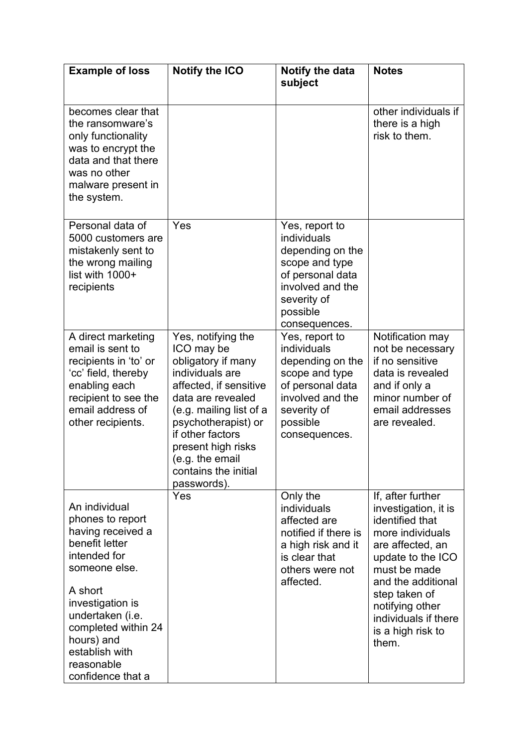| <b>Example of loss</b>                                                                                                                                                                                                                                 | <b>Notify the ICO</b>                                                                                                                                                                                                                                                          | Notify the data<br>subject                                                                                                                              | <b>Notes</b>                                                                                                                                                                                                                                              |
|--------------------------------------------------------------------------------------------------------------------------------------------------------------------------------------------------------------------------------------------------------|--------------------------------------------------------------------------------------------------------------------------------------------------------------------------------------------------------------------------------------------------------------------------------|---------------------------------------------------------------------------------------------------------------------------------------------------------|-----------------------------------------------------------------------------------------------------------------------------------------------------------------------------------------------------------------------------------------------------------|
|                                                                                                                                                                                                                                                        |                                                                                                                                                                                                                                                                                |                                                                                                                                                         |                                                                                                                                                                                                                                                           |
| becomes clear that<br>the ransomware's<br>only functionality<br>was to encrypt the<br>data and that there<br>was no other<br>malware present in<br>the system.                                                                                         |                                                                                                                                                                                                                                                                                |                                                                                                                                                         | other individuals if<br>there is a high<br>risk to them.                                                                                                                                                                                                  |
| Personal data of<br>5000 customers are<br>mistakenly sent to<br>the wrong mailing<br>list with 1000+<br>recipients                                                                                                                                     | Yes                                                                                                                                                                                                                                                                            | Yes, report to<br>individuals<br>depending on the<br>scope and type<br>of personal data<br>involved and the<br>severity of<br>possible<br>consequences. |                                                                                                                                                                                                                                                           |
| A direct marketing<br>email is sent to<br>recipients in 'to' or<br>'cc' field, thereby<br>enabling each<br>recipient to see the<br>email address of<br>other recipients.                                                                               | Yes, notifying the<br>ICO may be<br>obligatory if many<br>individuals are<br>affected, if sensitive<br>data are revealed<br>(e.g. mailing list of a<br>psychotherapist) or<br>if other factors<br>present high risks<br>(e.g. the email<br>contains the initial<br>passwords). | Yes, report to<br>individuals<br>depending on the<br>scope and type<br>of personal data<br>involved and the<br>severity of<br>possible<br>consequences. | Notification may<br>not be necessary<br>if no sensitive<br>data is revealed<br>and if only a<br>minor number of<br>email addresses<br>are revealed.                                                                                                       |
| An individual<br>phones to report<br>having received a<br>benefit letter<br>intended for<br>someone else.<br>A short<br>investigation is<br>undertaken (i.e.<br>completed within 24<br>hours) and<br>establish with<br>reasonable<br>confidence that a | Yes                                                                                                                                                                                                                                                                            | Only the<br>individuals<br>affected are<br>notified if there is<br>a high risk and it<br>is clear that<br>others were not<br>affected.                  | If, after further<br>investigation, it is<br>identified that<br>more individuals<br>are affected, an<br>update to the ICO<br>must be made<br>and the additional<br>step taken of<br>notifying other<br>individuals if there<br>is a high risk to<br>them. |